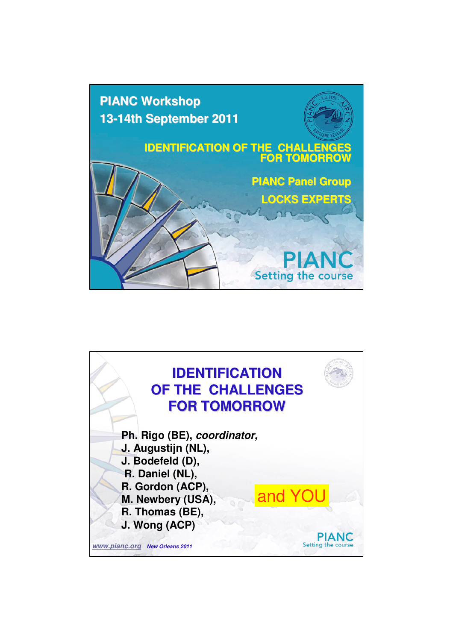

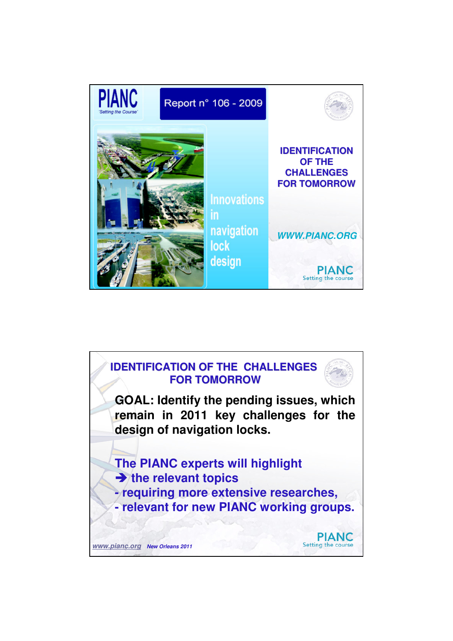

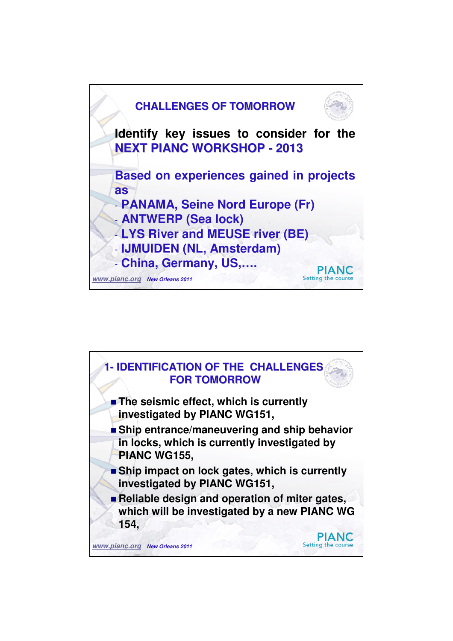

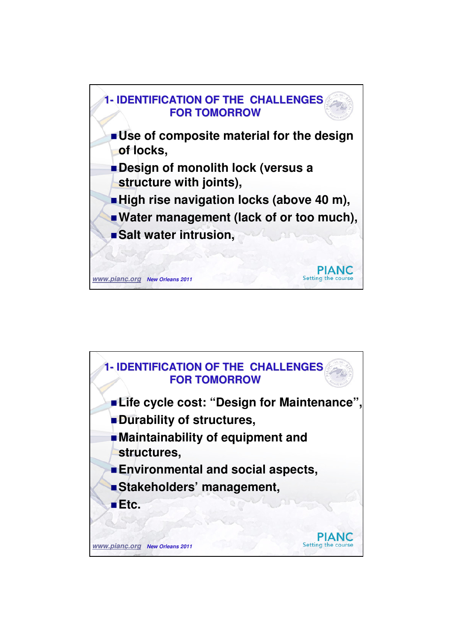